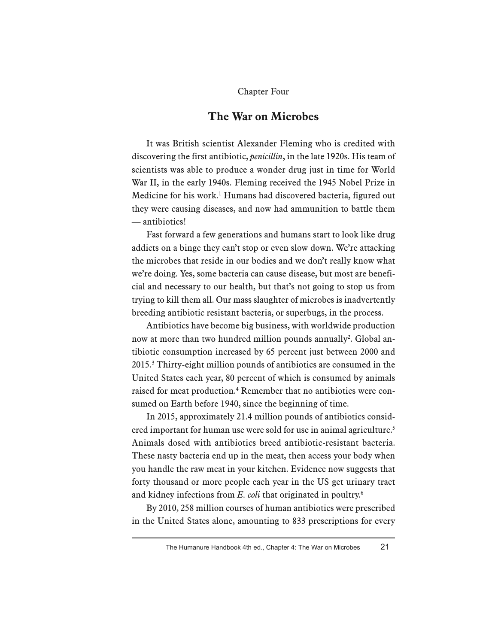## Chapter Four

## **The War on Microbes**

 It was British scientist Alexander Fleming who is credited with discovering the first antibiotic, *penicillin*, in the late 1920s. His team of scientists was able to produce a wonder drug just in time for World War II, in the early 1940s. Fleming received the 1945 Nobel Prize in Medicine for his work.<sup>1</sup> Humans had discovered bacteria, figured out they were causing diseases, and now had ammunition to battle them — antibiotics!

 Fast forward a few generations and humans start to look like drug addicts on a binge they can't stop or even slow down. We're attacking the microbes that reside in our bodies and we don't really know what we're doing. Yes, some bacteria can cause disease, but most are beneficial and necessary to our health, but that's not going to stop us from trying to kill them all. Our mass slaughter of microbes is inadvertently breeding antibiotic resistant bacteria, or superbugs, in the process.

 Antibiotics have become big business, with worldwide production now at more than two hundred million pounds annually<sup>2</sup>. Global antibiotic consumption increased by 65 percent just between 2000 and 2015.3 Thirty-eight million pounds of antibiotics are consumed in the United States each year, 80 percent of which is consumed by animals raised for meat production.<sup>4</sup> Remember that no antibiotics were consumed on Earth before 1940, since the beginning of time.

 In 2015, approximately 21.4 million pounds of antibiotics considered important for human use were sold for use in animal agriculture.<sup>5</sup> Animals dosed with antibiotics breed antibiotic-resistant bacteria. These nasty bacteria end up in the meat, then access your body when you handle the raw meat in your kitchen. Evidence now suggests that forty thousand or more people each year in the US get urinary tract and kidney infections from *E. coli* that originated in poultry.<sup>6</sup>

 By 2010, 258 million courses of human antibiotics were prescribed in the United States alone, amounting to 833 prescriptions for every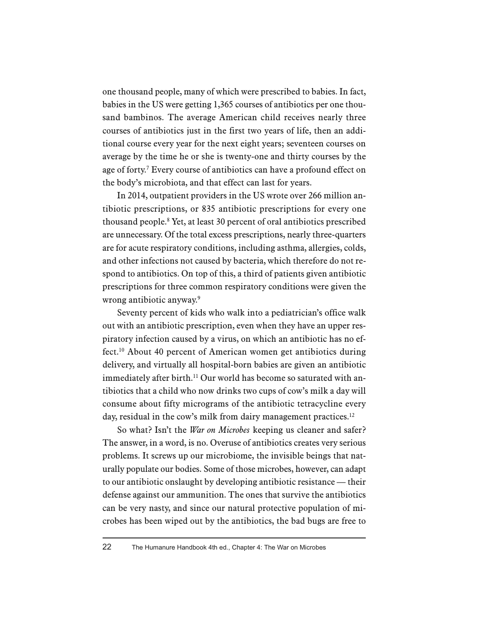one thousand people, many of which were prescribed to babies. In fact, babies in the US were getting 1,365 courses of antibiotics per one thousand bambinos. The average American child receives nearly three courses of antibiotics just in the first two years of life, then an additional course every year for the next eight years; seventeen courses on average by the time he or she is twenty-one and thirty courses by the age of forty.7 Every course of antibiotics can have a profound effect on the body's microbiota, and that effect can last for years.

 In 2014, outpatient providers in the US wrote over 266 million antibiotic prescriptions, or 835 antibiotic prescriptions for every one thousand people.8 Yet, at least 30 percent of oral antibiotics prescribed are unnecessary. Of the total excess prescriptions, nearly three-quarters are for acute respiratory conditions, including asthma, allergies, colds, and other infections not caused by bacteria, which therefore do not respond to antibiotics. On top of this, a third of patients given antibiotic prescriptions for three common respiratory conditions were given the wrong antibiotic anyway.<sup>9</sup>

 Seventy percent of kids who walk into a pediatrician's office walk out with an antibiotic prescription, even when they have an upper respiratory infection caused by a virus, on which an antibiotic has no effect.10 About 40 percent of American women get antibiotics during delivery, and virtually all hospital-born babies are given an antibiotic immediately after birth.<sup>11</sup> Our world has become so saturated with antibiotics that a child who now drinks two cups of cow's milk a day will consume about fifty micrograms of the antibiotic tetracycline every day, residual in the cow's milk from dairy management practices.<sup>12</sup>

 So what? Isn't the *War on Microbes* keeping us cleaner and safer? The answer, in a word, is no. Overuse of antibiotics creates very serious problems. It screws up our microbiome, the invisible beings that naturally populate our bodies. Some of those microbes, however, can adapt to our antibiotic onslaught by developing antibiotic resistance — their defense against our ammunition. The ones that survive the antibiotics can be very nasty, and since our natural protective population of microbes has been wiped out by the antibiotics, the bad bugs are free to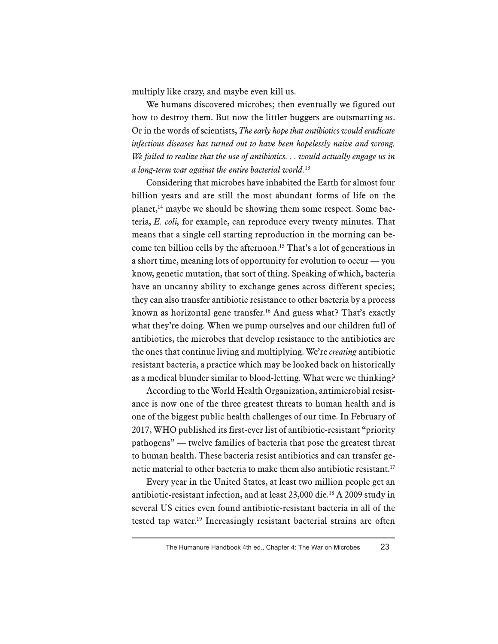multiply like crazy, and maybe even kill us.

We humans discovered microbes; then eventually we figured out how to destroy them. But now the littler buggers are outsmarting *us*. Or in the words of scientists, *The early hope that antibiotics would eradicate infectious diseases has turned out to have been hopelessly naive and wrong. We failed to realize that the use of antibiotics. . . would actually engage us in a long-term war against the entire bacterial world.*<sup>13</sup>

 Considering that microbes have inhabited the Earth for almost four billion years and are still the most abundant forms of life on the planet,14 maybe we should be showing them some respect. Some bacteria, *E. coli,* for example, can reproduce every twenty minutes. That means that a single cell starting reproduction in the morning can become ten billion cells by the afternoon.15 That's a lot of generations in a short time, meaning lots of opportunity for evolution to occur — you know, genetic mutation, that sort of thing. Speaking of which, bacteria have an uncanny ability to exchange genes across different species; they can also transfer antibiotic resistance to other bacteria by a process known as horizontal gene transfer.<sup>16</sup> And guess what? That's exactly what they're doing. When we pump ourselves and our children full of antibiotics, the microbes that develop resistance to the antibiotics are the ones that continue living and multiplying. We're *creating* antibiotic resistant bacteria, a practice which may be looked back on historically as a medical blunder similar to blood-letting. What were we thinking?

 According to the World Health Organization, antimicrobial resistance is now one of the three greatest threats to human health and is one of the biggest public health challenges of our time. In February of 2017, WHO published its first-ever list of antibiotic-resistant "priority pathogens" — twelve families of bacteria that pose the greatest threat to human health. These bacteria resist antibiotics and can transfer genetic material to other bacteria to make them also antibiotic resistant.<sup>17</sup>

 Every year in the United States, at least two million people get an antibiotic-resistant infection, and at least 23,000 die.18 A 2009 study in several US cities even found antibiotic-resistant bacteria in all of the tested tap water.19 Increasingly resistant bacterial strains are often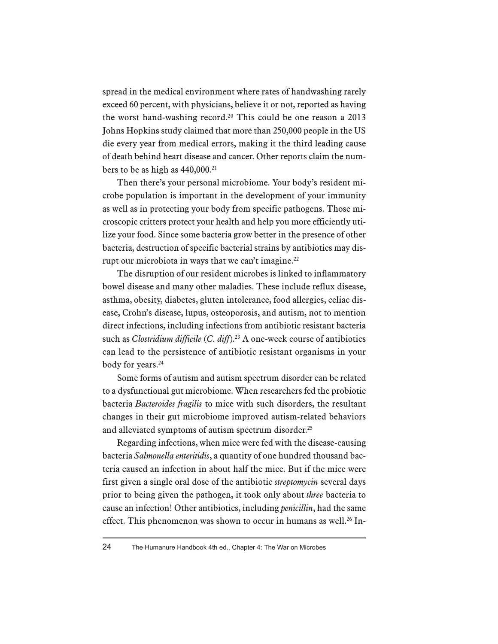spread in the medical environment where rates of handwashing rarely exceed 60 percent, with physicians, believe it or not, reported as having the worst hand-washing record.<sup>20</sup> This could be one reason a 2013 Johns Hopkins study claimed that more than 250,000 people in the US die every year from medical errors, making it the third leading cause of death behind heart disease and cancer. Other reports claim the numbers to be as high as 440,000.<sup>21</sup>

 Then there's your personal microbiome. Your body's resident microbe population is important in the development of your immunity as well as in protecting your body from specific pathogens. Those microscopic critters protect your health and help you more efficiently utilize your food. Since some bacteria grow better in the presence of other bacteria, destruction of specific bacterial strains by antibiotics may disrupt our microbiota in ways that we can't imagine.<sup>22</sup>

 The disruption of our resident microbes is linked to inflammatory bowel disease and many other maladies. These include reflux disease, asthma, obesity, diabetes, gluten intolerance, food allergies, celiac disease, Crohn's disease, lupus, osteoporosis, and autism, not to mention direct infections, including infections from antibiotic resistant bacteria such as *Clostridium difficile* (*C. diff*).<sup>23</sup> A one-week course of antibiotics can lead to the persistence of antibiotic resistant organisms in your body for years.<sup>24</sup>

 Some forms of autism and autism spectrum disorder can be related to a dysfunctional gut microbiome. When researchers fed the probiotic bacteria *Bacteroides fragilis* to mice with such disorders, the resultant changes in their gut microbiome improved autism-related behaviors and alleviated symptoms of autism spectrum disorder.<sup>25</sup>

 Regarding infections, when mice were fed with the disease-causing bacteria *Salmonella enteritidis*, a quantity of one hundred thousand bacteria caused an infection in about half the mice. But if the mice were first given a single oral dose of the antibiotic *streptomycin* several days prior to being given the pathogen, it took only about *three* bacteria to cause an infection! Other antibiotics, including *penicillin*, had the same effect. This phenomenon was shown to occur in humans as well.<sup>26</sup> In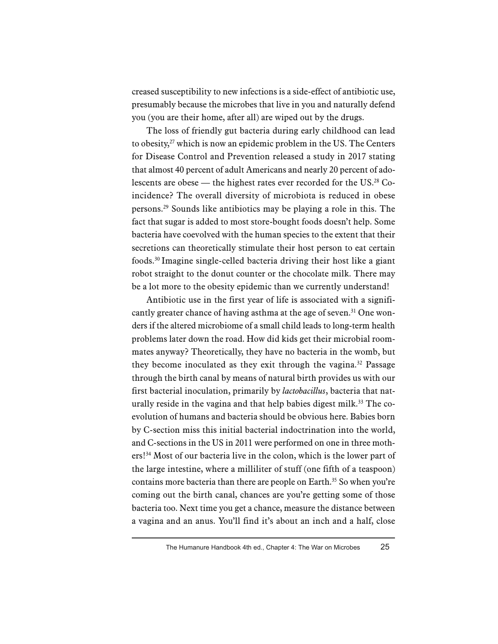creased susceptibility to new infections is a side-effect of antibiotic use, presumably because the microbes that live in you and naturally defend you (you are their home, after all) are wiped out by the drugs.

 The loss of friendly gut bacteria during early childhood can lead to obesity,27 which is now an epidemic problem in the US. The Centers for Disease Control and Prevention released a study in 2017 stating that almost 40 percent of adult Americans and nearly 20 percent of adolescents are obese — the highest rates ever recorded for the US.28 Coincidence? The overall diversity of microbiota is reduced in obese persons.29 Sounds like antibiotics may be playing a role in this. The fact that sugar is added to most store-bought foods doesn't help. Some bacteria have coevolved with the human species to the extent that their secretions can theoretically stimulate their host person to eat certain foods.30 Imagine single-celled bacteria driving their host like a giant robot straight to the donut counter or the chocolate milk. There may be a lot more to the obesity epidemic than we currently understand!

 Antibiotic use in the first year of life is associated with a significantly greater chance of having asthma at the age of seven.<sup>31</sup> One wonders if the altered microbiome of a small child leads to long-term health problems later down the road. How did kids get their microbial roommates anyway? Theoretically, they have no bacteria in the womb, but they become inoculated as they exit through the vagina.32 Passage through the birth canal by means of natural birth provides us with our first bacterial inoculation, primarily by *lactobacillus*, bacteria that naturally reside in the vagina and that help babies digest milk.<sup>33</sup> The coevolution of humans and bacteria should be obvious here. Babies born by C-section miss this initial bacterial indoctrination into the world, and C-sections in the US in 2011 were performed on one in three mothers!34 Most of our bacteria live in the colon, which is the lower part of the large intestine, where a milliliter of stuff (one fifth of a teaspoon) contains more bacteria than there are people on Earth.<sup>35</sup> So when you're coming out the birth canal, chances are you're getting some of those bacteria too. Next time you get a chance, measure the distance between a vagina and an anus. You'll find it's about an inch and a half, close